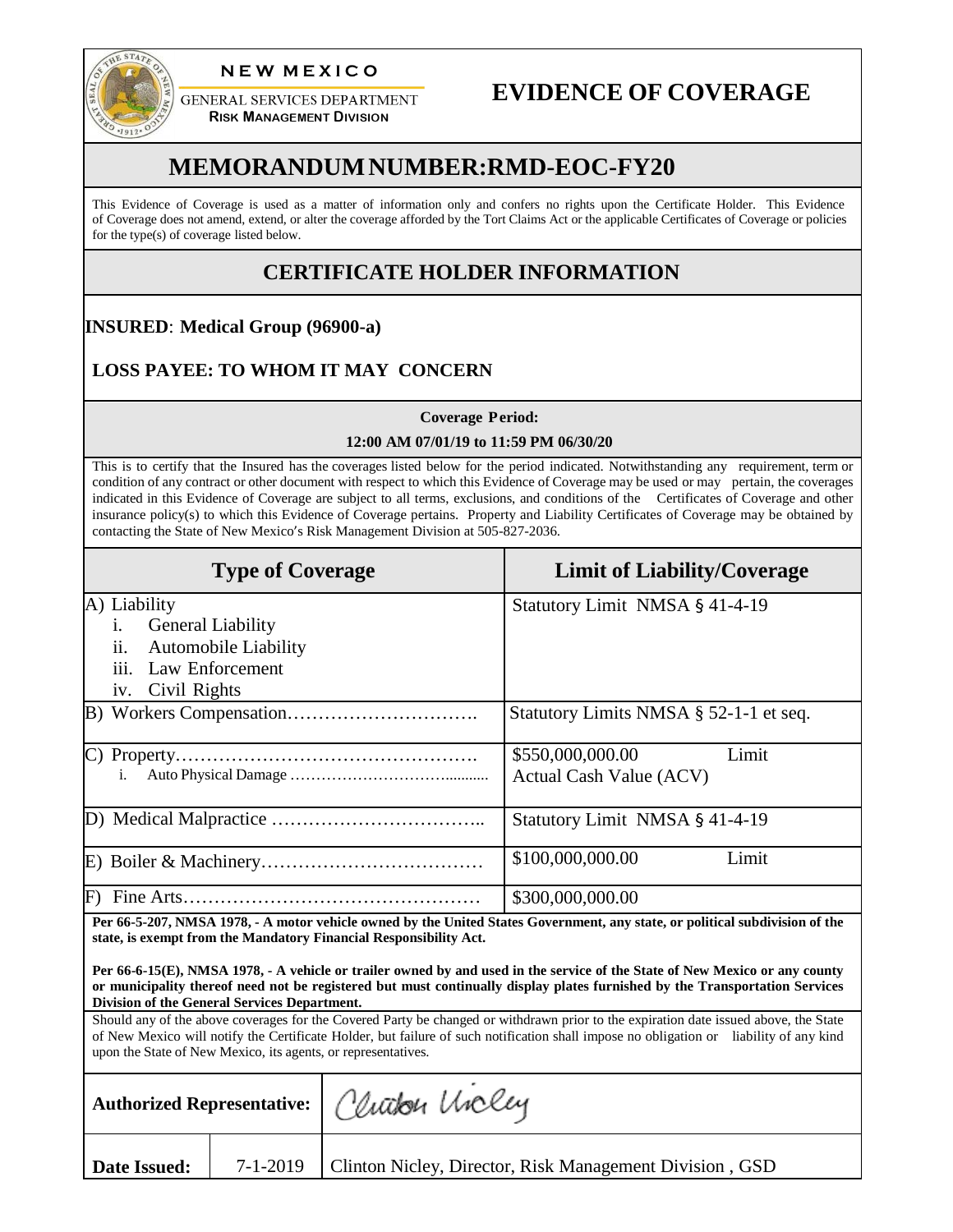

**NEW MEXICO** 

GENERAL SERVICES DEPARTMENT **RISK MANAGEMENT DIVISION** 

# **EVIDENCE OF COVERAGE**

## **MEMORANDUM NUMBER:RMD-EOC-FY20**

This Evidence of Coverage is used as a matter of information only and confers no rights upon the Certificate Holder. This Evidence of Coverage does not amend, extend, or alter the coverage afforded by the Tort Claims Act or the applicable Certificates of Coverage or policies for the type(s) of coverage listed below.

## **CERTIFICATE HOLDER INFORMATION**

### **INSURED**: **Medical Group (96900-a)**

### **LOSS PAYEE: TO WHOM IT MAY CONCERN**

**Coverage Period:** 

**12:00 AM 07/01/19 to 11:59 PM 06/30/20**

This is to certify that the Insured has the coverages listed below for the period indicated. Notwithstanding any requirement, term or condition of any contract or other document with respect to which this Evidence of Coverage may be used or may pertain, the coverages indicated in this Evidence of Coverage are subject to all terms, exclusions, and conditions of the Certificates of Coverage and other insurance policy(s) to which this Evidence of Coverage pertains. Property and Liability Certificates of Coverage may be obtained by contacting the State of New Mexico's Risk Management Division at 505-827-2036.

| <b>Type of Coverage</b>                                                                                                                                                                                                                                                                                                                                                                                                                                                                                                                                                                                                                                                                                                                                                                                                                                            |                              |                                                                     |                 | <b>Limit of Liability/Coverage</b>                      |  |
|--------------------------------------------------------------------------------------------------------------------------------------------------------------------------------------------------------------------------------------------------------------------------------------------------------------------------------------------------------------------------------------------------------------------------------------------------------------------------------------------------------------------------------------------------------------------------------------------------------------------------------------------------------------------------------------------------------------------------------------------------------------------------------------------------------------------------------------------------------------------|------------------------------|---------------------------------------------------------------------|-----------------|---------------------------------------------------------|--|
| $\mathbf{1}$ .<br>$\overline{11}$ .<br>iii.<br>iv.                                                                                                                                                                                                                                                                                                                                                                                                                                                                                                                                                                                                                                                                                                                                                                                                                 | A) Liability<br>Civil Rights | General Liability<br><b>Automobile Liability</b><br>Law Enforcement |                 | Statutory Limit NMSA § 41-4-19                          |  |
|                                                                                                                                                                                                                                                                                                                                                                                                                                                                                                                                                                                                                                                                                                                                                                                                                                                                    |                              |                                                                     |                 | Statutory Limits NMSA § 52-1-1 et seq.                  |  |
| i.                                                                                                                                                                                                                                                                                                                                                                                                                                                                                                                                                                                                                                                                                                                                                                                                                                                                 |                              |                                                                     |                 | Limit<br>\$550,000,000.00<br>Actual Cash Value (ACV)    |  |
|                                                                                                                                                                                                                                                                                                                                                                                                                                                                                                                                                                                                                                                                                                                                                                                                                                                                    |                              |                                                                     |                 | Statutory Limit NMSA § 41-4-19                          |  |
|                                                                                                                                                                                                                                                                                                                                                                                                                                                                                                                                                                                                                                                                                                                                                                                                                                                                    |                              |                                                                     |                 | Limit<br>\$100,000,000.00                               |  |
|                                                                                                                                                                                                                                                                                                                                                                                                                                                                                                                                                                                                                                                                                                                                                                                                                                                                    |                              |                                                                     |                 | \$300,000,000.00                                        |  |
| Per 66-5-207, NMSA 1978, - A motor vehicle owned by the United States Government, any state, or political subdivision of the<br>state, is exempt from the Mandatory Financial Responsibility Act.<br>Per 66-6-15(E), NMSA 1978, - A vehicle or trailer owned by and used in the service of the State of New Mexico or any county<br>or municipality thereof need not be registered but must continually display plates furnished by the Transportation Services<br>Division of the General Services Department.<br>Should any of the above coverages for the Covered Party be changed or withdrawn prior to the expiration date issued above, the State<br>of New Mexico will notify the Certificate Holder, but failure of such notification shall impose no obligation or liability of any kind<br>upon the State of New Mexico, its agents, or representatives. |                              |                                                                     |                 |                                                         |  |
| <b>Authorized Representative:</b>                                                                                                                                                                                                                                                                                                                                                                                                                                                                                                                                                                                                                                                                                                                                                                                                                                  |                              |                                                                     | Christon Uncley |                                                         |  |
|                                                                                                                                                                                                                                                                                                                                                                                                                                                                                                                                                                                                                                                                                                                                                                                                                                                                    | <b>Date Issued:</b>          | $7 - 1 - 2019$                                                      |                 | Clinton Nicley, Director, Risk Management Division, GSD |  |